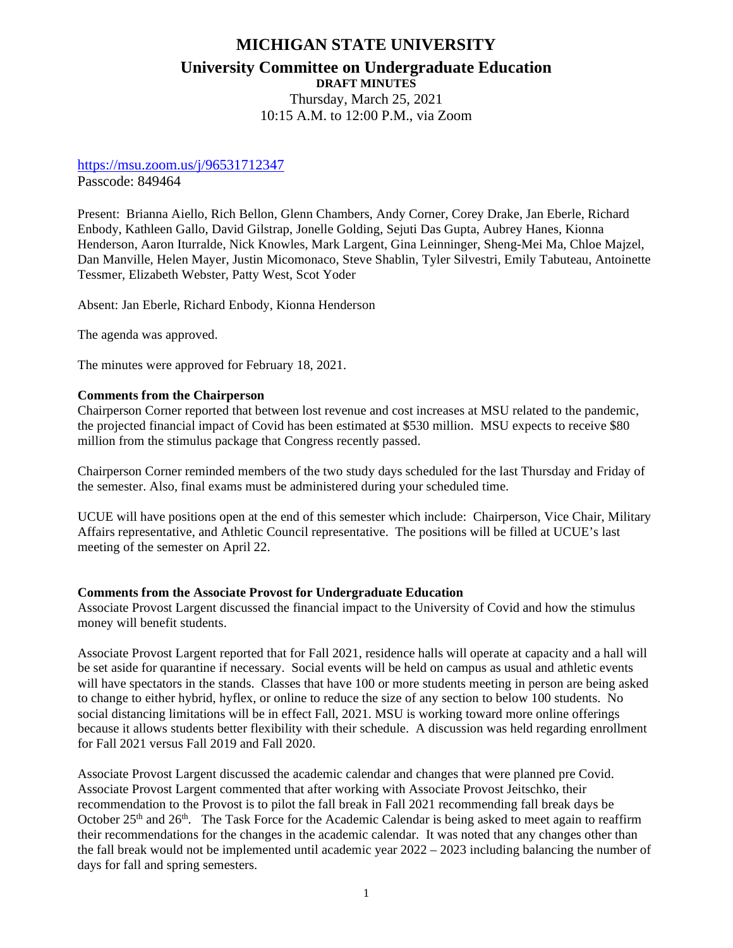# **MICHIGAN STATE UNIVERSITY University Committee on Undergraduate Education DRAFT MINUTES** Thursday, March 25, 2021

10:15 A.M. to 12:00 P.M., via Zoom

### <https://msu.zoom.us/j/96531712347>

Passcode: 849464

Present: Brianna Aiello, Rich Bellon, Glenn Chambers, Andy Corner, Corey Drake, Jan Eberle, Richard Enbody, Kathleen Gallo, David Gilstrap, Jonelle Golding, Sejuti Das Gupta, Aubrey Hanes, Kionna Henderson, Aaron Iturralde, Nick Knowles, Mark Largent, Gina Leinninger, Sheng-Mei Ma, Chloe Majzel, Dan Manville, Helen Mayer, Justin Micomonaco, Steve Shablin, Tyler Silvestri, Emily Tabuteau, Antoinette Tessmer, Elizabeth Webster, Patty West, Scot Yoder

Absent: Jan Eberle, Richard Enbody, Kionna Henderson

The agenda was approved.

The minutes were approved for February 18, 2021.

#### **Comments from the Chairperson**

Chairperson Corner reported that between lost revenue and cost increases at MSU related to the pandemic, the projected financial impact of Covid has been estimated at \$530 million. MSU expects to receive \$80 million from the stimulus package that Congress recently passed.

Chairperson Corner reminded members of the two study days scheduled for the last Thursday and Friday of the semester. Also, final exams must be administered during your scheduled time.

UCUE will have positions open at the end of this semester which include: Chairperson, Vice Chair, Military Affairs representative, and Athletic Council representative. The positions will be filled at UCUE's last meeting of the semester on April 22.

#### **Comments from the Associate Provost for Undergraduate Education**

Associate Provost Largent discussed the financial impact to the University of Covid and how the stimulus money will benefit students.

Associate Provost Largent reported that for Fall 2021, residence halls will operate at capacity and a hall will be set aside for quarantine if necessary. Social events will be held on campus as usual and athletic events will have spectators in the stands. Classes that have 100 or more students meeting in person are being asked to change to either hybrid, hyflex, or online to reduce the size of any section to below 100 students. No social distancing limitations will be in effect Fall, 2021. MSU is working toward more online offerings because it allows students better flexibility with their schedule. A discussion was held regarding enrollment for Fall 2021 versus Fall 2019 and Fall 2020.

Associate Provost Largent discussed the academic calendar and changes that were planned pre Covid. Associate Provost Largent commented that after working with Associate Provost Jeitschko, their recommendation to the Provost is to pilot the fall break in Fall 2021 recommending fall break days be October  $25<sup>th</sup>$  and  $26<sup>th</sup>$ . The Task Force for the Academic Calendar is being asked to meet again to reaffirm their recommendations for the changes in the academic calendar. It was noted that any changes other than the fall break would not be implemented until academic year 2022 – 2023 including balancing the number of days for fall and spring semesters.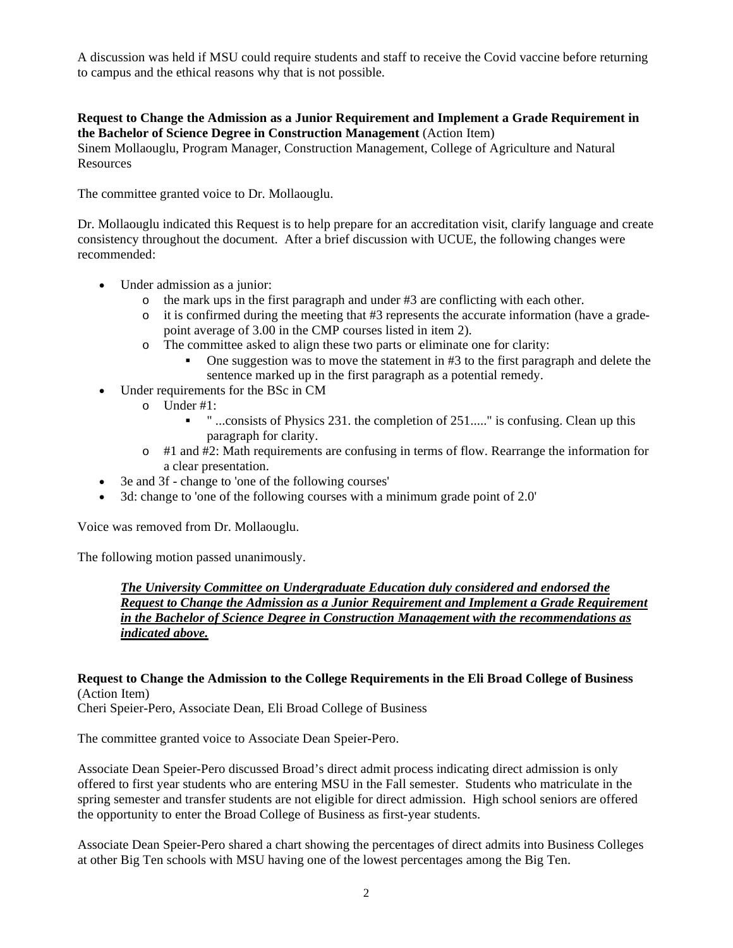A discussion was held if MSU could require students and staff to receive the Covid vaccine before returning to campus and the ethical reasons why that is not possible.

# **Request to Change the Admission as a Junior Requirement and Implement a Grade Requirement in the Bachelor of Science Degree in Construction Management** (Action Item)

Sinem Mollaouglu, Program Manager, Construction Management, College of Agriculture and Natural Resources

The committee granted voice to Dr. Mollaouglu.

Dr. Mollaouglu indicated this Request is to help prepare for an accreditation visit, clarify language and create consistency throughout the document. After a brief discussion with UCUE, the following changes were recommended:

- Under admission as a junior:
	- o the mark ups in the first paragraph and under #3 are conflicting with each other.
	- $\circ$  it is confirmed during the meeting that #3 represents the accurate information (have a gradepoint average of 3.00 in the CMP courses listed in item 2).
	- o The committee asked to align these two parts or eliminate one for clarity:
		- One suggestion was to move the statement in #3 to the first paragraph and delete the sentence marked up in the first paragraph as a potential remedy.
- Under requirements for the BSc in CM
	- o Under #1:
		- **•** " ...consists of Physics 231. the completion of 251....." is confusing. Clean up this paragraph for clarity.
	- $\circ$  #1 and #2: Math requirements are confusing in terms of flow. Rearrange the information for a clear presentation.
- 3e and 3f change to 'one of the following courses'
- 3d: change to 'one of the following courses with a minimum grade point of 2.0'

Voice was removed from Dr. Mollaouglu.

The following motion passed unanimously.

*The University Committee on Undergraduate Education duly considered and endorsed the Request to Change the Admission as a Junior Requirement and Implement a Grade Requirement in the Bachelor of Science Degree in Construction Management with the recommendations as indicated above.*

# **Request to Change the Admission to the College Requirements in the Eli Broad College of Business** (Action Item)

Cheri Speier-Pero, Associate Dean, Eli Broad College of Business

The committee granted voice to Associate Dean Speier-Pero.

Associate Dean Speier-Pero discussed Broad's direct admit process indicating direct admission is only offered to first year students who are entering MSU in the Fall semester. Students who matriculate in the spring semester and transfer students are not eligible for direct admission. High school seniors are offered the opportunity to enter the Broad College of Business as first-year students.

Associate Dean Speier-Pero shared a chart showing the percentages of direct admits into Business Colleges at other Big Ten schools with MSU having one of the lowest percentages among the Big Ten.